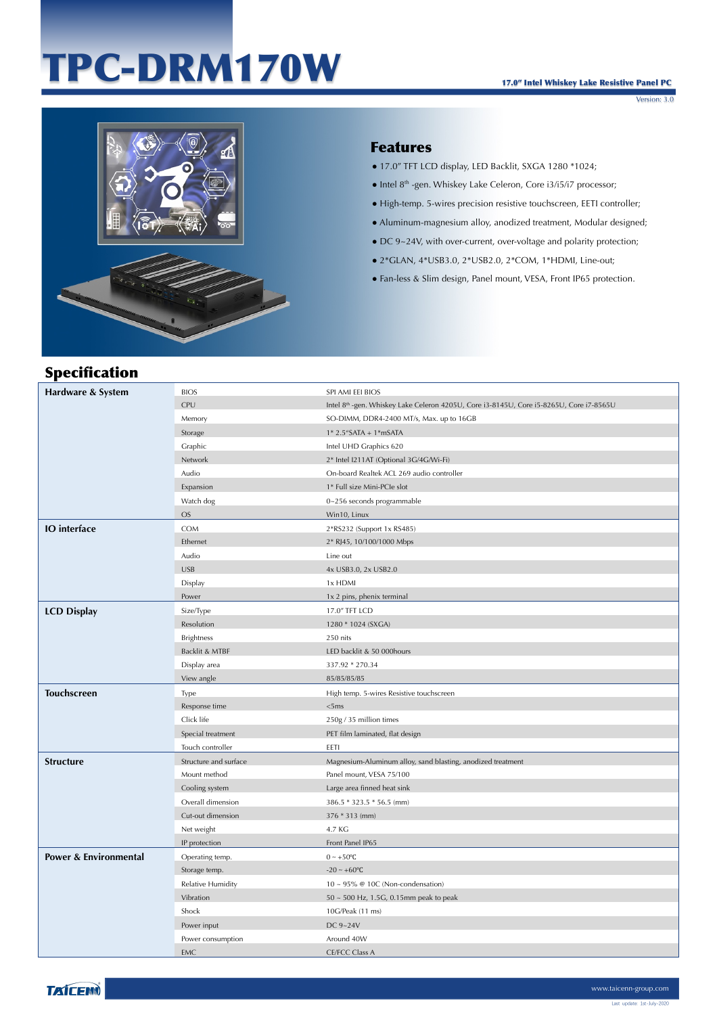# TPC-DRM170W



### Features

- 17.0" TFT LCD display, LED Backlit, SXGA 1280 \*1024;
- Intel 8<sup>th</sup> -gen. Whiskey Lake Celeron, Core i3/i5/i7 processor;
- High-temp. 5-wires precision resistive touchscreen, EETI controller;
- Aluminum-magnesium alloy, anodized treatment, Modular designed;
- DC 9~24V, with over-current, over-voltage and polarity protection;
- 2\*GLAN, 4\*USB3.0, 2\*USB2.0, 2\*COM, 1\*HDMI, Line-out;
- Fan-less & Slim design, Panel mount, VESA, Front IP65 protection.

# Specification

| Hardware & System                | <b>BIOS</b>           | SPI AMI EEI BIOS                                                                        |
|----------------------------------|-----------------------|-----------------------------------------------------------------------------------------|
|                                  | CPU                   | Intel 8th -gen. Whiskey Lake Celeron 4205U, Core i3-8145U, Core i5-8265U, Core i7-8565U |
|                                  | Memory                | SO-DIMM, DDR4-2400 MT/s, Max. up to 16GB                                                |
|                                  | Storage               | $1*$ 2.5"SATA + $1*$ mSATA                                                              |
|                                  | Graphic               | Intel UHD Graphics 620                                                                  |
|                                  | Network               | 2* Intel I211AT (Optional 3G/4G/Wi-Fi)                                                  |
|                                  | Audio                 | On-board Realtek ACL 269 audio controller                                               |
|                                  | Expansion             | 1* Full size Mini-PCIe slot                                                             |
|                                  | Watch dog             | 0~256 seconds programmable                                                              |
|                                  | OS.                   | Win10, Linux                                                                            |
| <b>IO</b> interface              | COM                   | 2*RS232 (Support 1x RS485)                                                              |
|                                  | Ethernet              | 2* RJ45, 10/100/1000 Mbps                                                               |
|                                  | Audio                 | Line out                                                                                |
|                                  | <b>USB</b>            | 4x USB3.0, 2x USB2.0                                                                    |
|                                  | Display               | 1x HDMI                                                                                 |
|                                  | Power                 | 1x 2 pins, phenix terminal                                                              |
| <b>LCD Display</b>               | Size/Type             | 17.0" TFT LCD                                                                           |
|                                  | Resolution            | 1280 * 1024 (SXGA)                                                                      |
|                                  | <b>Brightness</b>     | 250 nits                                                                                |
|                                  | Backlit & MTBF        | LED backlit & 50 000hours                                                               |
|                                  | Display area          | 337.92 * 270.34                                                                         |
|                                  |                       |                                                                                         |
|                                  | View angle            | 85/85/85/85                                                                             |
| <b>Touchscreen</b>               | Type                  | High temp. 5-wires Resistive touchscreen                                                |
|                                  | Response time         | <5ms                                                                                    |
|                                  | Click life            | 250g / 35 million times                                                                 |
|                                  | Special treatment     | PET film laminated, flat design                                                         |
|                                  | Touch controller      | EETI                                                                                    |
| <b>Structure</b>                 | Structure and surface | Magnesium-Aluminum alloy, sand blasting, anodized treatment                             |
|                                  | Mount method          | Panel mount, VESA 75/100                                                                |
|                                  | Cooling system        | Large area finned heat sink                                                             |
|                                  | Overall dimension     | 386.5 * 323.5 * 56.5 (mm)                                                               |
|                                  | Cut-out dimension     | 376 * 313 (mm)                                                                          |
|                                  | Net weight            | 4.7 KG                                                                                  |
|                                  | IP protection         | Front Panel IP65                                                                        |
| <b>Power &amp; Environmental</b> | Operating temp.       | $0 \sim +50$ °C                                                                         |
|                                  | Storage temp.         | $-20 - +60$ °C                                                                          |
|                                  | Relative Humidity     | $10 \sim 95\%$ @ 10C (Non-condensation)                                                 |
|                                  | Vibration             | $50 \sim 500$ Hz, 1.5G, 0.15mm peak to peak                                             |
|                                  | Shock                 | 10G/Peak (11 ms)                                                                        |
|                                  | Power input           | DC 9~24V                                                                                |
|                                  | Power consumption     | Around 40W                                                                              |